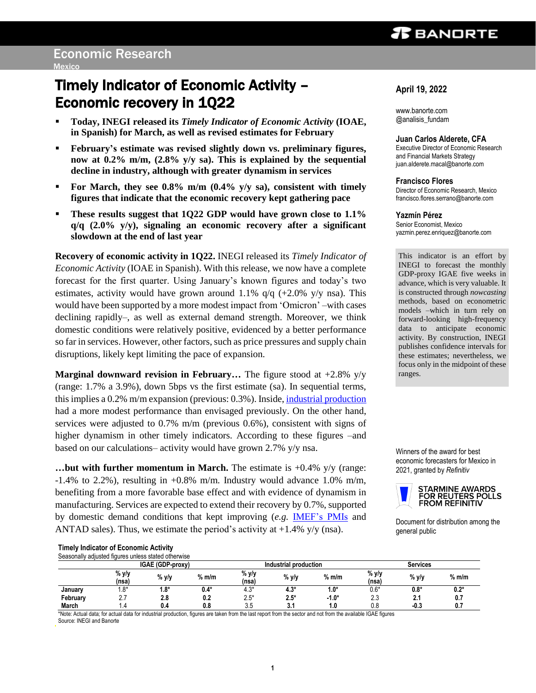# $\boldsymbol{x}$  bandrte

# Timely Indicator of Economic Activity – Economic recovery in 1Q22

- **Today, INEGI released its** *Timely Indicator of Economic Activity* **(IOAE, in Spanish) for March, as well as revised estimates for February**
- **February's estimate was revised slightly down vs. preliminary figures, now at 0.2% m/m, (2.8% y/y sa). This is explained by the sequential decline in industry, although with greater dynamism in services**
- **For March, they see 0.8% m/m (0.4% y/y sa), consistent with timely figures that indicate that the economic recovery kept gathering pace**
- **These results suggest that 1Q22 GDP would have grown close to 1.1% q/q (2.0% y/y), signaling an economic recovery after a significant slowdown at the end of last year**

**Recovery of economic activity in 1Q22.** INEGI released its *Timely Indicator of Economic Activity* (IOAE in Spanish). With this release, we now have a complete forecast for the first quarter. Using January's known figures and today's two estimates, activity would have grown around 1.1%  $q/q$  (+2.0% y/y nsa). This would have been supported by a more modest impact from 'Omicron' –with cases declining rapidly–, as well as external demand strength. Moreover, we think domestic conditions were relatively positive, evidenced by a better performance so far in services. However, other factors, such as price pressures and supply chain disruptions, likely kept limiting the pace of expansion.

**Marginal downward revision in February...** The figure stood at  $+2.8\%$  y/y (range: 1.7% a 3.9%), down 5bps vs the first estimate (sa). In sequential terms, this implies a 0.2% m/m expansion (previous: 0.3%). Inside, [industrial production](https://www.banorte.com/cms/casadebolsabanorteixe/analisisyestrategia/analisiseconomico/mexico/20220411_IP_Feb_2022.pdf) had a more modest performance than envisaged previously. On the other hand, services were adjusted to 0.7% m/m (previous 0.6%), consistent with signs of higher dynamism in other timely indicators. According to these figures –and based on our calculations– activity would have grown 2.7% y/y nsa.

**…but with further momentum in March.** The estimate is +0.4% y/y (range:  $-1.4\%$  to 2.2%), resulting in  $+0.8\%$  m/m. Industry would advance 1.0% m/m, benefiting from a more favorable base effect and with evidence of dynamism in manufacturing. Services are expected to extend their recovery by 0.7%, supported by domestic demand conditions that kept improving (*e.g.* [IMEF's PMIs](https://www.banorte.com/cms/casadebolsabanorteixe/analisisyestrategia/analisiseconomico/mexico/20220401_IMEF_PMI_Mar_22.pdf) and ANTAD sales). Thus, we estimate the period's activity at  $+1.4\%$  y/y (nsa).

## **April 19, 2022**

www.banorte.com @analisis\_fundam

## **Juan Carlos Alderete, CFA**

Executive Director of Economic Research and Financial Markets Strategy juan.alderete.macal@banorte.com

**Francisco Flores**

Director of Economic Research, Mexico francisco.flores.serrano@banorte.com

### **Yazmín Pérez**

Senior Economist, Mexico yazmin.perez.enriquez@banorte.com

This indicator is an effort by INEGI to forecast the monthly GDP-proxy IGAE five weeks in advance, which is very valuable. It is constructed through *nowcasting* methods, based on econometric models –which in turn rely on forward-looking high-frequency data to anticipate economic activity. By construction, INEGI publishes confidence intervals for these estimates; nevertheless, we focus only in the midpoint of these ranges.

Winners of the award for best economic forecasters for Mexico in 2021, granted by *Refinitiv*



Document for distribution among the general public

|  |  | <b>Timely Indicator of Economic Activity</b> |  |  |
|--|--|----------------------------------------------|--|--|
|  |  |                                              |  |  |

| Seasonally adjusted figures unless stated otherwise |                |                  |         |                       |        |         |                 |         |         |
|-----------------------------------------------------|----------------|------------------|---------|-----------------------|--------|---------|-----------------|---------|---------|
|                                                     |                | IGAE (GDP-proxy) |         | Industrial production |        |         | <b>Services</b> |         |         |
|                                                     | % y/y<br>(nsa. | % y/y            | $%$ m/m | % y/y<br>(nsa)        | % y/y  | $%$ m/m | % y/y<br>(nsa)  | % y/y   | $%$ m/m |
| January                                             | 8*،            | $1.8*$           | $0.4*$  | $4.3*$                | $4.3*$ | $1.0*$  | 0.6*            | $0.8^*$ | $0.2*$  |
| February                                            | ۷.             | 2.8              | 0.2     | $2.5*$                | $2.5*$ | $-1.0*$ | 2.3             | 2.1     | 0.7     |
| <b>March</b>                                        |                | 0.4              | 0.8     | 3.5                   | u.     | ۱.٥     | 0.8             | $-0.3$  | 0.7     |

\*Note: Actual data; for actual data for industrial production, figures are taken from the last report from the sector and not from the available IGAE figures Source: INEGI and Banorte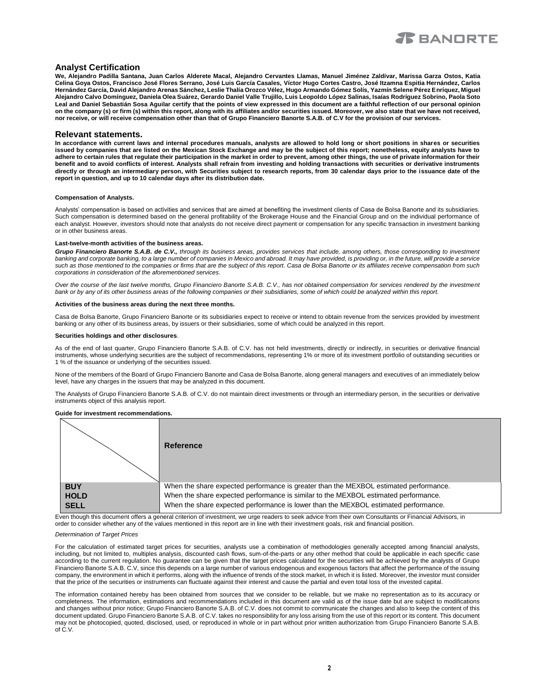

## **Analyst Certification**

**We, Alejandro Padilla Santana, Juan Carlos Alderete Macal, Alejandro Cervantes Llamas, Manuel Jiménez Zaldívar, Marissa Garza Ostos, Katia Celina Goya Ostos, Francisco José Flores Serrano, José Luis García Casales, Víctor Hugo Cortes Castro, José Itzamna Espitia Hernández, Carlos Hernández García, David Alejandro Arenas Sánchez, Leslie Thalía Orozco Vélez, Hugo Armando Gómez Solís, Yazmín Selene Pérez Enríquez, Miguel Alejandro Calvo Domínguez, Daniela Olea Suárez, Gerardo Daniel Valle Trujillo, Luis Leopoldo López Salinas, Isaías Rodríguez Sobrino, Paola Soto Leal and Daniel Sebastián Sosa Aguilar certify that the points of view expressed in this document are a faithful reflection of our personal opinion on the company (s) or firm (s) within this report, along with its affiliates and/or securities issued. Moreover, we also state that we have not received, nor receive, or will receive compensation other than that of Grupo Financiero Banorte S.A.B. of C.V for the provision of our services.**

### **Relevant statements.**

**In accordance with current laws and internal procedures manuals, analysts are allowed to hold long or short positions in shares or securities issued by companies that are listed on the Mexican Stock Exchange and may be the subject of this report; nonetheless, equity analysts have to adhere to certain rules that regulate their participation in the market in order to prevent, among other things, the use of private information for their benefit and to avoid conflicts of interest. Analysts shall refrain from investing and holding transactions with securities or derivative instruments directly or through an intermediary person, with Securities subject to research reports, from 30 calendar days prior to the issuance date of the report in question, and up to 10 calendar days after its distribution date.**

#### **Compensation of Analysts.**

Analysts' compensation is based on activities and services that are aimed at benefiting the investment clients of Casa de Bolsa Banorte and its subsidiaries. Such compensation is determined based on the general profitability of the Brokerage House and the Financial Group and on the individual performance of each analyst. However, investors should note that analysts do not receive direct payment or compensation for any specific transaction in investment banking or in other business areas.

#### **Last-twelve-month activities of the business areas.**

*Grupo Financiero Banorte S.A.B. de C.V., through its business areas, provides services that include, among others, those corresponding to investment*  banking and corporate banking, to a large number of companies in Mexico and abroad. It may have provided, is providing or, in the future, will provide a service *such as those mentioned to the companies or firms that are the subject of this report. Casa de Bolsa Banorte or its affiliates receive compensation from such corporations in consideration of the aforementioned services.*

*Over the course of the last twelve months, Grupo Financiero Banorte S.A.B. C.V., has not obtained compensation for services rendered by the investment bank or by any of its other business areas of the following companies or their subsidiaries, some of which could be analyzed within this report.*

#### **Activities of the business areas during the next three months.**

Casa de Bolsa Banorte, Grupo Financiero Banorte or its subsidiaries expect to receive or intend to obtain revenue from the services provided by investment banking or any other of its business areas, by issuers or their subsidiaries, some of which could be analyzed in this report.

#### **Securities holdings and other disclosures**.

As of the end of last quarter, Grupo Financiero Banorte S.A.B. of C.V. has not held investments, directly or indirectly, in securities or derivative financial instruments, whose underlying securities are the subject of recommendations, representing 1% or more of its investment portfolio of outstanding securities or 1 % of the issuance or underlying of the securities issued.

None of the members of the Board of Grupo Financiero Banorte and Casa de Bolsa Banorte, along general managers and executives of an immediately below level, have any charges in the issuers that may be analyzed in this document.

The Analysts of Grupo Financiero Banorte S.A.B. of C.V. do not maintain direct investments or through an intermediary person, in the securities or derivative instruments object of this analysis report.

#### **Guide for investment recommendations.**

|             | <b>Reference</b>                                                                      |
|-------------|---------------------------------------------------------------------------------------|
| <b>BUY</b>  | When the share expected performance is greater than the MEXBOL estimated performance. |
| <b>HOLD</b> | When the share expected performance is similar to the MEXBOL estimated performance.   |
| <b>SELL</b> | When the share expected performance is lower than the MEXBOL estimated performance.   |

Even though this document offers a general criterion of investment, we urge readers to seek advice from their own Consultants or Financial Advisors, in order to consider whether any of the values mentioned in this report are in line with their investment goals, risk and financial position.

#### *Determination of Target Prices*

For the calculation of estimated target prices for securities, analysts use a combination of methodologies generally accepted among financial analysts, including, but not limited to, multiples analysis, discounted cash flows, sum-of-the-parts or any other method that could be applicable in each specific case according to the current regulation. No guarantee can be given that the target prices calculated for the securities will be achieved by the analysts of Grupo Financiero Banorte S.A.B. C.V, since this depends on a large number of various endogenous and exogenous factors that affect the performance of the issuing company, the environment in which it performs, along with the influence of trends of the stock market, in which it is listed. Moreover, the investor must consider that the price of the securities or instruments can fluctuate against their interest and cause the partial and even total loss of the invested capital.

The information contained hereby has been obtained from sources that we consider to be reliable, but we make no representation as to its accuracy or completeness. The information, estimations and recommendations included in this document are valid as of the issue date but are subject to modifications and changes without prior notice; Grupo Financiero Banorte S.A.B. of C.V. does not commit to communicate the changes and also to keep the content of this document updated. Grupo Financiero Banorte S.A.B. of C.V. takes no responsibility for any loss arising from the use of this report or its content. This document may not be photocopied, quoted, disclosed, used, or reproduced in whole or in part without prior written authorization from Grupo Financiero Banorte S.A.B. of C.V.